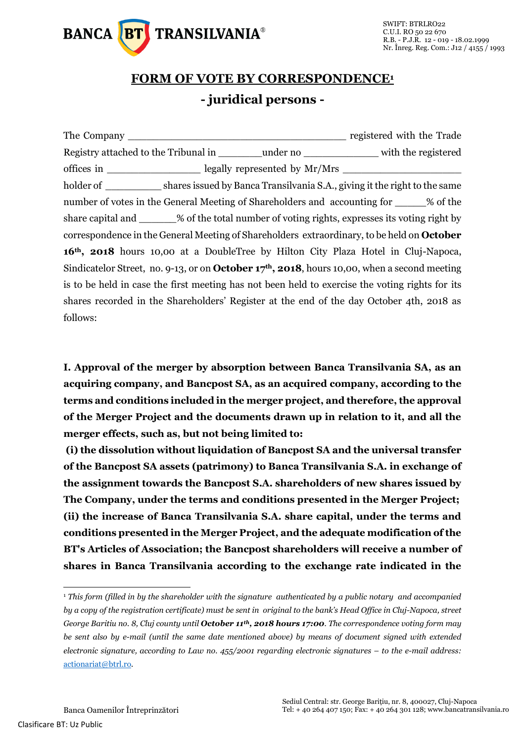

## **FORM OF VOTE BY CORRESPONDENCE<sup>1</sup> - juridical persons -**

The Company **Example 2.1 and 2.1 and 2.1 and 2.1 and 2.1 and 2.1 and 2.1 and 2.1 and 2.1 and 2.1 and 2.1 and 2.1 and 2.1 and 2.1 and 2.1 and 2.1 and 2.1 and 2.1 and 2.1 and 2.1 and 2.1 and 2.1 and 2.1 and 2.1 and 2.1 and 2** Registry attached to the Tribunal in \_\_\_\_\_\_\_under no \_\_\_\_\_\_\_\_\_\_\_\_ with the registered offices in \_\_\_\_\_\_\_\_\_\_\_\_\_\_\_ legally represented by Mr/Mrs \_\_\_\_\_\_\_\_\_\_\_\_\_\_\_\_\_\_\_ holder of shares issued by Banca Transilvania S.A., giving it the right to the same number of votes in the General Meeting of Shareholders and accounting for \_\_\_\_\_% of the share capital and \_\_\_\_\_\_% of the total number of voting rights, expresses its voting right by correspondence in the General Meeting of Shareholders extraordinary, to be held on **October 16th, 2018** hours 10,00 at a DoubleTree by Hilton City Plaza Hotel in Cluj-Napoca, Sindicatelor Street, no. 9-13, or on **October 17th, 2018**, hours 10,00, when a second meeting is to be held in case the first meeting has not been held to exercise the voting rights for its shares recorded in the Shareholders' Register at the end of the day October 4th, 2018 as follows:

**I. Approval of the merger by absorption between Banca Transilvania SA, as an acquiring company, and Bancpost SA, as an acquired company, according to the terms and conditions included in the merger project, and therefore, the approval of the Merger Project and the documents drawn up in relation to it, and all the merger effects, such as, but not being limited to:**

**(i) the dissolution without liquidation of Bancpost SA and the universal transfer of the Bancpost SA assets (patrimony) to Banca Transilvania S.A. in exchange of the assignment towards the Bancpost S.A. shareholders of new shares issued by The Company, under the terms and conditions presented in the Merger Project; (ii) the increase of Banca Transilvania S.A. share capital, under the terms and conditions presented in the Merger Project, and the adequate modification of the BT's Articles of Association; the Bancpost shareholders will receive a number of shares in Banca Transilvania according to the exchange rate indicated in the** 

-

<sup>1</sup> *This form (filled in by the shareholder with the signature authenticated by a public notary and accompanied by a copy of the registration certificate) must be sent in original to the bank's Head Office in Cluj-Napoca, street George Baritiu no. 8, Cluj county until October 11th, 2018 hours 17:00. The correspondence voting form may be sent also by e-mail (until the same date mentioned above) by means of document signed with extended electronic signature, according to Law no. 455/2001 regarding electronic signatures – to the e-mail address:*  [actionariat@btrl.ro](mailto:actionariat@btrl.ro)*.*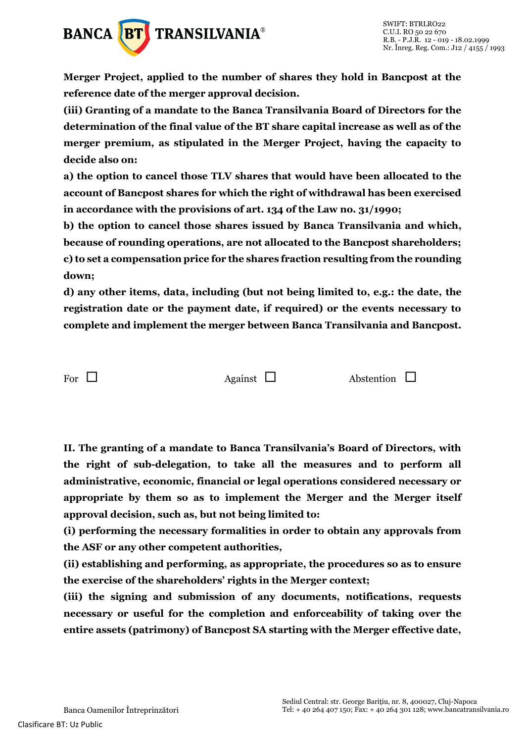

**Merger Project, applied to the number of shares they hold in Bancpost at the reference date of the merger approval decision.**

**(iii) Granting of a mandate to the Banca Transilvania Board of Directors for the determination of the final value of the BT share capital increase as well as of the merger premium, as stipulated in the Merger Project, having the capacity to decide also on:**

**a) the option to cancel those TLV shares that would have been allocated to the account of Bancpost shares for which the right of withdrawal has been exercised in accordance with the provisions of art. 134 of the Law no. 31/1990;** 

**b) the option to cancel those shares issued by Banca Transilvania and which, because of rounding operations, are not allocated to the Bancpost shareholders; c) to set a compensation price for the shares fraction resulting from the rounding down;** 

**d) any other items, data, including (but not being limited to, e.g.: the date, the registration date or the payment date, if required) or the events necessary to complete and implement the merger between Banca Transilvania and Bancpost.**

For  $\Box$  Against  $\Box$  Abstention  $\Box$ 

**II. The granting of a mandate to Banca Transilvania's Board of Directors, with the right of sub-delegation, to take all the measures and to perform all administrative, economic, financial or legal operations considered necessary or appropriate by them so as to implement the Merger and the Merger itself approval decision, such as, but not being limited to:** 

**(i) performing the necessary formalities in order to obtain any approvals from the ASF or any other competent authorities,** 

**(ii) establishing and performing, as appropriate, the procedures so as to ensure the exercise of the shareholders' rights in the Merger context;** 

**(iii) the signing and submission of any documents, notifications, requests necessary or useful for the completion and enforceability of taking over the entire assets (patrimony) of Bancpost SA starting with the Merger effective date,**